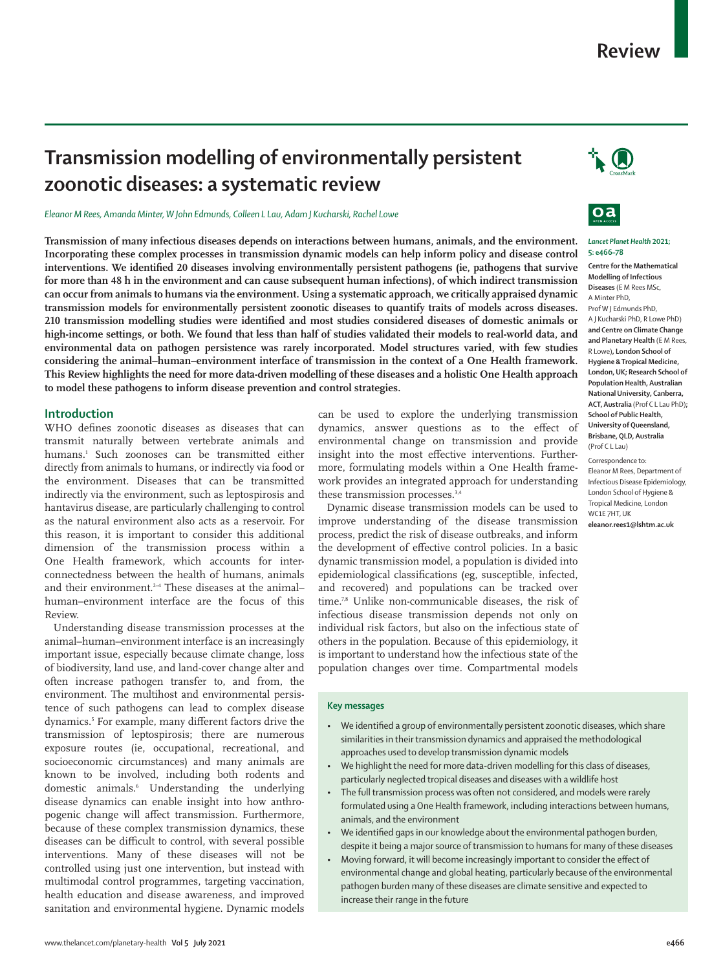# **Transmission modelling of environmentally persistent zoonotic diseases: a systematic review**

*Eleanor M Rees, Amanda Minter, W John Edmunds, Colleen L Lau, Adam J Kucharski, Rachel Lowe*

**Transmission of many infectious diseases depends on interactions between humans, animals, and the environment. Incorporating these complex processes in transmission dynamic models can help inform policy and disease control interventions. We identified 20 diseases involving environmentally persistent pathogens (ie, pathogens that survive for more than 48 h in the environment and can cause subsequent human infections), of which indirect transmission can occur from animals to humans via the environment. Using a systematic approach, we critically appraised dynamic transmission models for environmentally persistent zoonotic diseases to quantify traits of models across diseases. 210 transmission modelling studies were identified and most studies considered diseases of domestic animals or high-income settings, or both. We found that less than half of studies validated their models to real-world data, and environmental data on pathogen persistence was rarely incorporated. Model structures varied, with few studies considering the animal–human–environment interface of transmission in the context of a One Health framework. This Review highlights the need for more data-driven modelling of these diseases and a holistic One Health approach to model these pathogens to inform disease prevention and control strategies.**

## **Introduction**

WHO defines zoonotic diseases as diseases that can transmit naturally between vertebrate animals and humans.1 Such zoonoses can be transmitted either directly from animals to humans, or indirectly via food or the environment. Diseases that can be transmitted indirectly via the environment, such as leptospirosis and hantavirus disease, are particularly challenging to control as the natural environment also acts as a reservoir. For this reason, it is important to consider this additional dimension of the transmission process within a One Health framework, which accounts for interconnectedness between the health of humans, animals and their environment.2–4 These diseases at the animal– human–environment interface are the focus of this Review.

Understanding disease transmission processes at the animal–human–environment interface is an increasingly important issue, especially because climate change, loss of biodiversity, land use, and land-cover change alter and often increase pathogen transfer to, and from, the environment. The multihost and environmental persistence of such pathogens can lead to complex disease dynamics.5 For example, many different factors drive the transmission of leptospirosis; there are numerous exposure routes (ie, occupational, recreational, and socioeconomic circumstances) and many animals are known to be involved, including both rodents and domestic animals.6 Understanding the underlying disease dynamics can enable insight into how anthropogenic change will affect transmission. Furthermore, because of these complex transmission dynamics, these diseases can be difficult to control, with several possible interventions. Many of these diseases will not be controlled using just one intervention, but instead with multimodal control programmes, targeting vaccination, health education and disease awareness, and improved sanitation and environmental hygiene. Dynamic models

can be used to explore the underlying transmission dynamics, answer questions as to the effect of environmental change on transmission and provide insight into the most effective interventions. Furthermore, formulating models within a One Health framework provides an integrated approach for understanding these transmission processes.<sup>3,4</sup>

Dynamic disease transmission models can be used to improve understanding of the disease transmission process, predict the risk of disease outbreaks, and inform the development of effective control policies. In a basic dynamic transmission model, a population is divided into epidemiological classifications (eg, susceptible, infected, and recovered) and populations can be tracked over time.7,8 Unlike non-communicable diseases, the risk of infectious disease transmission depends not only on individual risk factors, but also on the infectious state of others in the population. Because of this epidemiology, it is important to understand how the infectious state of the population changes over time. Compartmental models

### **Key messages**

- We identified a group of environmentally persistent zoonotic diseases, which share similarities in their transmission dynamics and appraised the methodological approaches used to develop transmission dynamic models
- We highlight the need for more data-driven modelling for this class of diseases, particularly neglected tropical diseases and diseases with a wildlife host
- The full transmission process was often not considered, and models were rarely formulated using a One Health framework, including interactions between humans, animals, and the environment
- We identified gaps in our knowledge about the environmental pathogen burden, despite it being a major source of transmission to humans for many of these diseases
- Moving forward, it will become increasingly important to consider the effect of environmental change and global heating, particularly because of the environmental pathogen burden many of these diseases are climate sensitive and expected to increase their range in the future





#### *Lancet Planet Health* **2021; 5: e466–78**

**Centre for the Mathematical Modelling of Infectious Diseases** (E M Rees MSc, A Minter PhD, Prof W J Edmunds PhD, A J Kucharski PhD, R Lowe PhD) **and Centre on Climate Change and Planetary Health** (E M Rees, R Lowe)**, London School of Hygiene & Tropical Medicine, London, UK; Research School of Population Health, Australian National University, Canberra, ACT, Australia** (Prof C L Lau PhD)**; School of Public Health, University of Queensland, Brisbane, QLD, Australia** (Prof C L Lau)

Correspondence to:

Eleanor M Rees, Department of Infectious Disease Epidemiology, London School of Hygiene & Tropical Medicine, London WC1E 7HT, UK **eleanor.rees1@lshtm.ac.uk**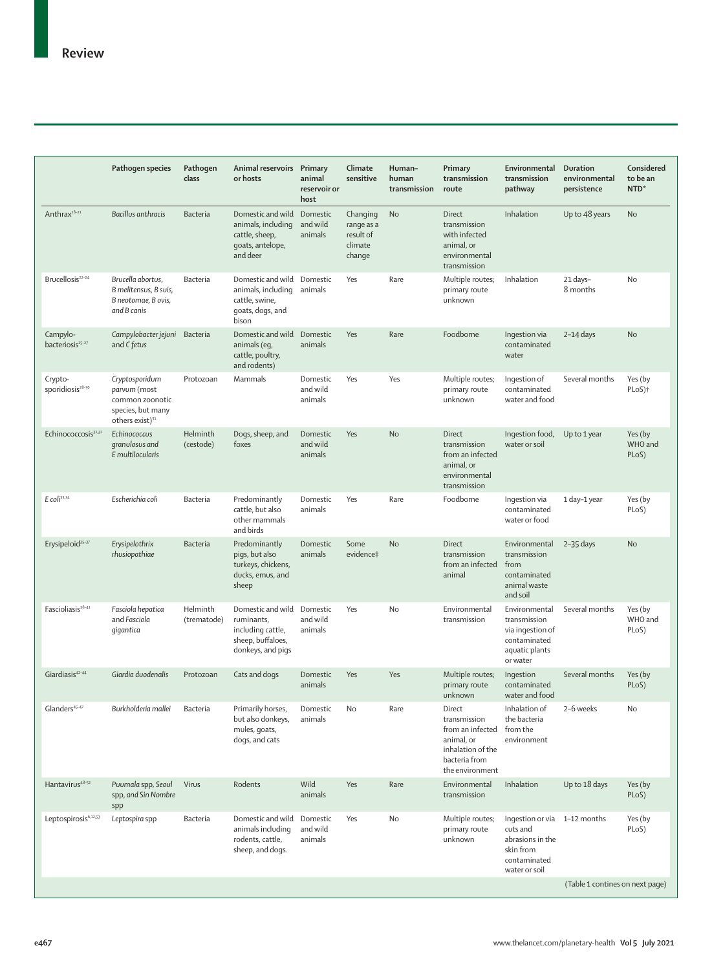|                                          | Pathogen species                                                                                      | Pathogen<br>class       | Animal reservoirs Primary<br>or hosts                                                          | animal<br>reservoir or<br>host  | Climate<br>sensitive                                     | Human-<br>human<br>transmission | Primary<br>transmission<br>route                                                                                  | Environmental<br>transmission<br>pathway                                                                   | <b>Duration</b><br>environmental<br>persistence | Considered<br>to be an<br>NTD* |
|------------------------------------------|-------------------------------------------------------------------------------------------------------|-------------------------|------------------------------------------------------------------------------------------------|---------------------------------|----------------------------------------------------------|---------------------------------|-------------------------------------------------------------------------------------------------------------------|------------------------------------------------------------------------------------------------------------|-------------------------------------------------|--------------------------------|
| Anthrax <sup>18-21</sup>                 | Bacillus anthracis                                                                                    | Bacteria                | Domestic and wild<br>animals, including<br>cattle, sheep,<br>goats, antelope,<br>and deer      | Domestic<br>and wild<br>animals | Changing<br>range as a<br>result of<br>climate<br>change | No                              | Direct<br>transmission<br>with infected<br>animal, or<br>environmental<br>transmission                            | Inhalation                                                                                                 | Up to 48 years                                  | No                             |
| Brucellosis <sup>22-24</sup>             | Brucella abortus,<br>B melitensus, B suis,<br>B neotomae, B ovis,<br>and B canis                      | Bacteria                | Domestic and wild<br>animals, including<br>cattle, swine,<br>goats, dogs, and<br>bison         | Domestic<br>animals             | Yes                                                      | Rare                            | Multiple routes;<br>primary route<br>unknown                                                                      | Inhalation                                                                                                 | 21 days-<br>8 months                            | No                             |
| Campylo-<br>bacteriosis <sup>25-27</sup> | Campylobacter jejuni<br>and C fetus                                                                   | Bacteria                | Domestic and wild<br>animals (eq,<br>cattle, poultry,<br>and rodents)                          | Domestic<br>animals             | Yes                                                      | Rare                            | Foodborne                                                                                                         | Ingestion via<br>contaminated<br>water                                                                     | $2-14$ days                                     | No                             |
| Crypto-<br>sporidiosis <sup>28-30</sup>  | Cryptosporidum<br>parvum (most<br>common zoonotic<br>species, but many<br>others exist) <sup>31</sup> | Protozoan               | Mammals                                                                                        | Domestic<br>and wild<br>animals | Yes                                                      | Yes                             | Multiple routes;<br>primary route<br>unknown                                                                      | Ingestion of<br>contaminated<br>water and food                                                             | Several months                                  | Yes (by<br>PLoS) <sup>+</sup>  |
| Echinococcosis <sup>31,32</sup>          | Echinococcus<br>granulosus and<br>E multilocularis                                                    | Helminth<br>(cestode)   | Dogs, sheep, and<br>foxes                                                                      | Domestic<br>and wild<br>animals | Yes                                                      | <b>No</b>                       | Direct<br>transmission<br>from an infected<br>animal, or<br>environmental<br>transmission                         | Ingestion food,<br>water or soil                                                                           | Up to 1 year                                    | Yes (by<br>WHO and<br>PLoS)    |
| E coli33,34                              | Escherichia coli                                                                                      | Bacteria                | Predominantly<br>cattle, but also<br>other mammals<br>and birds                                | Domestic<br>animals             | Yes                                                      | Rare                            | Foodborne                                                                                                         | Ingestion via<br>contaminated<br>water or food                                                             | 1 day-1 year                                    | Yes (by<br>PLoS)               |
| Erysipeloid <sup>35-37</sup>             | Erysipelothrix<br>rhusiopathiae                                                                       | Bacteria                | Predominantly<br>pigs, but also<br>turkeys, chickens,<br>ducks, emus, and<br>sheep             | Domestic<br>animals             | Some<br>evidence‡                                        | <b>No</b>                       | Direct<br>transmission<br>from an infected<br>animal                                                              | Environmental<br>transmission<br>from<br>contaminated<br>animal waste<br>and soil                          | $2-35$ days                                     | No                             |
| Fascioliasis <sup>38-41</sup>            | Fasciola hepatica<br>and Fasciola<br>qiqantica                                                        | Helminth<br>(trematode) | Domestic and wild<br>ruminants,<br>including cattle,<br>sheep, buffaloes,<br>donkeys, and pigs | Domestic<br>and wild<br>animals | Yes                                                      | No                              | Environmental<br>transmission                                                                                     | Environmental<br>transmission<br>via ingestion of<br>contaminated<br>aquatic plants<br>or water            | Several months                                  | Yes (by<br>WHO and<br>PLoS)    |
| Giardiasis <sup>42-44</sup>              | Giardia duodenalis                                                                                    | Protozoan               | Cats and dogs                                                                                  | Domestic<br>animals             | Yes                                                      | Yes                             | Multiple routes;<br>primary route<br>unknown                                                                      | Ingestion<br>contaminated<br>water and food                                                                | Several months                                  | Yes (by<br>PLoS)               |
| Glanders <sup>45-47</sup>                | Burkholderia mallei                                                                                   | Bacteria                | Primarily horses,<br>but also donkeys,<br>mules, goats,<br>dogs, and cats                      | Domestic<br>animals             | No                                                       | Rare                            | Direct<br>transmission<br>from an infected<br>animal, or<br>inhalation of the<br>bacteria from<br>the environment | Inhalation of<br>the bacteria<br>from the<br>environment                                                   | 2-6 weeks                                       | No                             |
| Hantavirus <sup>48-52</sup>              | Puumala spp, Seoul<br>spp, and Sin Nombre<br>spp                                                      | Virus                   | Rodents                                                                                        | Wild<br>animals                 | Yes                                                      | Rare                            | Environmental<br>transmission                                                                                     | Inhalation                                                                                                 | Up to 18 days                                   | Yes (by<br>PLoS)               |
| Leptospirosis <sup>6,12,53</sup>         | Leptospira spp                                                                                        | Bacteria                | Domestic and wild<br>animals including<br>rodents, cattle,<br>sheep, and dogs.                 | Domestic<br>and wild<br>animals | Yes                                                      | No                              | Multiple routes;<br>primary route<br>unknown                                                                      | Ingestion or via 1-12 months<br>cuts and<br>abrasions in the<br>skin from<br>contaminated<br>water or soil |                                                 | Yes (by<br>PLoS)               |
|                                          |                                                                                                       |                         |                                                                                                |                                 |                                                          |                                 |                                                                                                                   |                                                                                                            | (Table 1 contines on next page)                 |                                |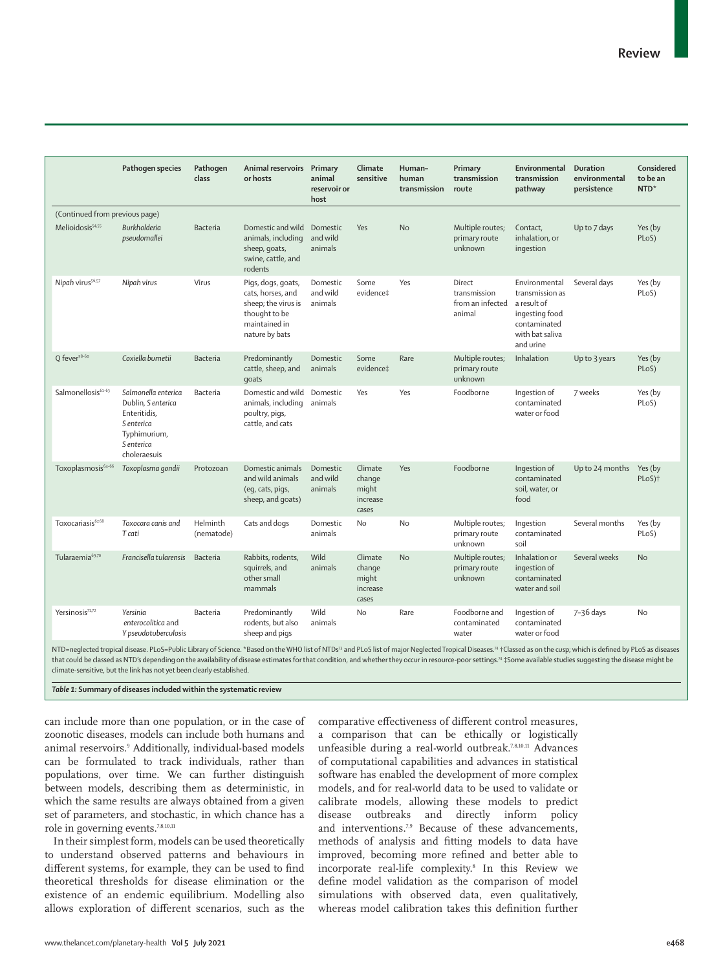|                                | Pathogen species                                                                                                      | Pathogen<br>class      | Animal reservoirs Primary<br>or hosts                                                                              | animal<br>reservoir or<br>host  | Climate<br>sensitive                            | Human-<br>human<br>transmission | Primary<br>transmission<br>route                     | Environmental<br>transmission<br>pathway                                                                          | <b>Duration</b><br>environmental<br>persistence | Considered<br>to be an<br>NTD* |
|--------------------------------|-----------------------------------------------------------------------------------------------------------------------|------------------------|--------------------------------------------------------------------------------------------------------------------|---------------------------------|-------------------------------------------------|---------------------------------|------------------------------------------------------|-------------------------------------------------------------------------------------------------------------------|-------------------------------------------------|--------------------------------|
| (Continued from previous page) |                                                                                                                       |                        |                                                                                                                    |                                 |                                                 |                                 |                                                      |                                                                                                                   |                                                 |                                |
| Melioidosis <sup>54,55</sup>   | Burkholderia<br>pseudomallei                                                                                          | Bacteria               | Domestic and wild<br>animals, including<br>sheep, goats,<br>swine, cattle, and<br>rodents                          | Domestic<br>and wild<br>animals | Yes                                             | <b>No</b>                       | Multiple routes;<br>primary route<br>unknown         | Contact,<br>inhalation, or<br>ingestion                                                                           | Up to 7 days                                    | Yes (by<br>PLoS)               |
| Nipah virus <sup>56,57</sup>   | Nipah virus                                                                                                           | Virus                  | Pigs, dogs, goats,<br>cats, horses, and<br>sheep; the virus is<br>thought to be<br>maintained in<br>nature by bats | Domestic<br>and wild<br>animals | Some<br>evidence‡                               | Yes                             | Direct<br>transmission<br>from an infected<br>animal | Environmental<br>transmission as<br>a result of<br>ingesting food<br>contaminated<br>with bat saliva<br>and urine | Several days                                    | Yes (by<br>PLoS)               |
| Q fever <sup>58-60</sup>       | Coxiella burnetii                                                                                                     | Bacteria               | Predominantly<br>cattle, sheep, and<br>qoats                                                                       | Domestic<br>animals             | Some<br>evidence‡                               | Rare                            | Multiple routes;<br>primary route<br>unknown         | Inhalation                                                                                                        | Up to 3 years                                   | Yes (by<br>PLoS)               |
| Salmonellosis <sup>61-63</sup> | Salmonella enterica<br>Dublin, S enterica<br>Enteritidis,<br>S enterica<br>Typhimurium,<br>S enterica<br>choleraesuis | Bacteria               | Domestic and wild<br>animals, including<br>poultry, pigs,<br>cattle, and cats                                      | Domestic<br>animals             | Yes                                             | Yes                             | Foodborne                                            | Ingestion of<br>contaminated<br>water or food                                                                     | 7 weeks                                         | Yes (by<br>PLoS)               |
| Toxoplasmosis <sup>64-66</sup> | Toxoplasma gondii                                                                                                     | Protozoan              | Domestic animals<br>and wild animals<br>(eg, cats, pigs,<br>sheep, and goats)                                      | Domestic<br>and wild<br>animals | Climate<br>change<br>might<br>increase<br>cases | Yes                             | Foodborne                                            | Ingestion of<br>contaminated<br>soil, water, or<br>food                                                           | Up to 24 months                                 | Yes (by<br>PLoS) <sup>+</sup>  |
| Toxocariasis <sup>67,68</sup>  | Toxocara canis and<br>T cati                                                                                          | Helminth<br>(nematode) | Cats and dogs                                                                                                      | Domestic<br>animals             | <b>No</b>                                       | No                              | Multiple routes;<br>primary route<br>unknown         | Ingestion<br>contaminated<br>soil                                                                                 | Several months                                  | Yes (by<br>PLoS)               |
| Tularaemia <sup>69,70</sup>    | Francisella tularensis                                                                                                | Bacteria               | Rabbits, rodents,<br>squirrels, and<br>other small<br>mammals                                                      | Wild<br>animals                 | Climate<br>change<br>might<br>increase<br>cases | No                              | Multiple routes;<br>primary route<br>unknown         | Inhalation or<br>ingestion of<br>contaminated<br>water and soil                                                   | Several weeks                                   | No                             |
| Yersinosis71,72                | Yersinia<br>enterocolitica and<br>Y pseudotuberculosis                                                                | Bacteria               | Predominantly<br>rodents, but also<br>sheep and pigs                                                               | Wild<br>animals                 | <b>No</b>                                       | Rare                            | Foodborne and<br>contaminated<br>water               | Ingestion of<br>contaminated<br>water or food                                                                     | 7-36 days                                       | No                             |

NTD=neglected tropical disease. PLoS=Public Library of Science. \*Based on the WHO list of NTDs<sup>73</sup> and PLoS list of major Neglected Tropical Diseases.<sup>74</sup> †Classed as on the cusp; which is defined by PLoS as diseases that could be classed as NTD's depending on the availability of disease estimates for that condition, and whether they occur in resource-poor settings.74 ‡Some available studies suggesting the disease might be climate-sensitive, but the link has not yet been clearly established.

*Table 1:* **Summary of diseases included within the systematic review**

can include more than one population, or in the case of zoonotic diseases, models can include both humans and animal reservoirs.9 Additionally, individual-based models can be formulated to track individuals, rather than populations, over time. We can further distinguish between models, describing them as deterministic, in which the same results are always obtained from a given set of parameters, and stochastic, in which chance has a role in governing events.7,8,10,11

In their simplest form, models can be used theoretically to understand observed patterns and behaviours in different systems, for example, they can be used to find theoretical thresholds for disease elimination or the existence of an endemic equilibrium. Modelling also allows exploration of different scenarios, such as the comparative effectiveness of different control measures, a comparison that can be ethically or logistically unfeasible during a real-world outbreak.7,8,10,11 Advances of computational capabilities and advances in statistical software has enabled the development of more complex models, and for real-world data to be used to validate or calibrate models, allowing these models to predict disease outbreaks and directly inform policy and interventions.7,9 Because of these advancements, methods of analysis and fitting models to data have improved, becoming more refined and better able to incorporate real-life complexity.8 In this Review we define model validation as the comparison of model simulations with observed data, even qualitatively, whereas model calibration takes this definition further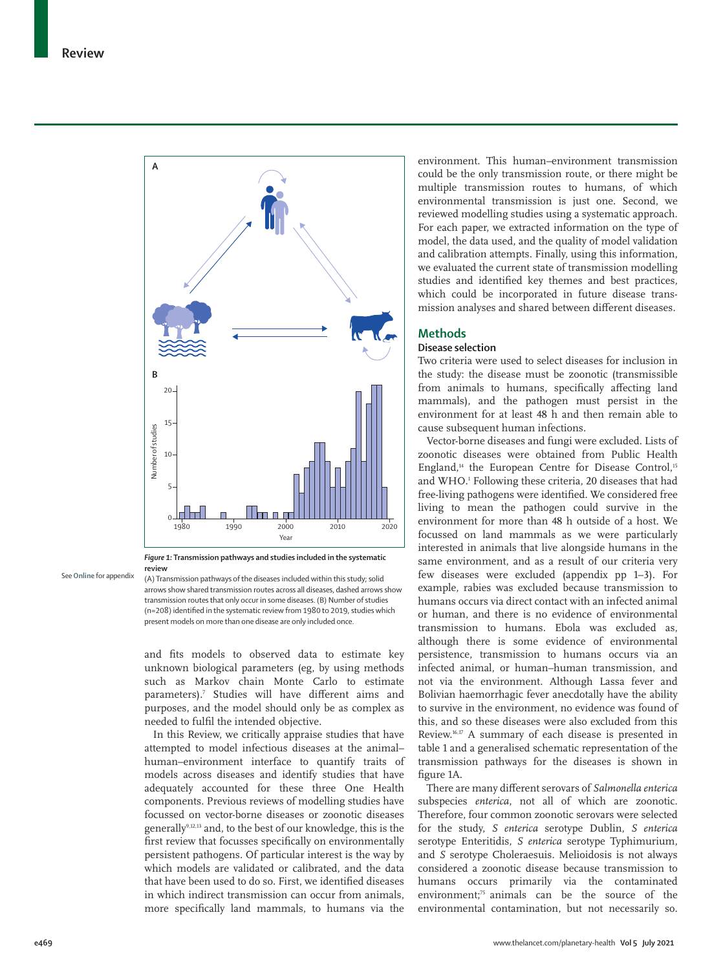

*Figure 1:* **Transmission pathways and studies included in the systematic review**

See **Online** for appendix

(A) Transmission pathways of the diseases included within this study; solid arrows show shared transmission routes across all diseases, dashed arrows show transmission routes that only occur in some diseases. (B) Number of studies (n=208) identified in the systematic review from 1980 to 2019, studies which present models on more than one disease are only included once.

and fits models to observed data to estimate key unknown biological parameters (eg, by using methods such as Markov chain Monte Carlo to estimate parameters).7 Studies will have different aims and purposes, and the model should only be as complex as needed to fulfil the intended objective.

In this Review, we critically appraise studies that have attempted to model infectious diseases at the animal– human–environment interface to quantify traits of models across diseases and identify studies that have adequately accounted for these three One Health components. Previous reviews of modelling studies have focussed on vector-borne diseases or zoonotic diseases generally9,12,13 and, to the best of our knowledge, this is the first review that focusses specifically on environmentally persistent pathogens. Of particular interest is the way by which models are validated or calibrated, and the data that have been used to do so. First, we identified diseases in which indirect transmission can occur from animals, more specifically land mammals, to humans via the environment. This human–environment transmission could be the only transmission route, or there might be multiple transmission routes to humans, of which environmental transmission is just one. Second, we reviewed modelling studies using a systematic approach. For each paper, we extracted information on the type of model, the data used, and the quality of model validation and calibration attempts. Finally, using this information, we evaluated the current state of transmission modelling studies and identified key themes and best practices, which could be incorporated in future disease transmission analyses and shared between different diseases.

# **Methods**

# **Disease selection**

Two criteria were used to select diseases for inclusion in the study: the disease must be zoonotic (transmissible from animals to humans, specifically affecting land mammals), and the pathogen must persist in the environment for at least 48 h and then remain able to cause subsequent human infections.

Vector-borne diseases and fungi were excluded. Lists of zoonotic diseases were obtained from Public Health England,<sup>14</sup> the European Centre for Disease Control,<sup>15</sup> and WHO.1 Following these criteria, 20 diseases that had free-living pathogens were identified. We considered free living to mean the pathogen could survive in the environment for more than 48 h outside of a host. We focussed on land mammals as we were particularly interested in animals that live alongside humans in the same environment, and as a result of our criteria very few diseases were excluded (appendix pp 1–3). For example, rabies was excluded because transmission to humans occurs via direct contact with an infected animal or human, and there is no evidence of environmental transmission to humans. Ebola was excluded as, although there is some evidence of environmental persistence, transmission to humans occurs via an infected animal, or human–human transmission, and not via the environment. Although Lassa fever and Bolivian haemorrhagic fever anecdotally have the ability to survive in the environment, no evidence was found of this, and so these diseases were also excluded from this Review.16,17 A summary of each disease is presented in table 1 and a generalised schematic representation of the transmission pathways for the diseases is shown in figure 1A.

There are many different serovars of *Salmonella enterica*  subspecies *enterica*, not all of which are zoonotic. Therefore, four common zoonotic serovars were selected for the study, *S enterica* serotype Dublin, *S enterica*  serotype Enteritidis, *S enterica* serotype Typhimurium, and *S* serotype Choleraesuis. Melioidosis is not always considered a zoonotic disease because transmission to humans occurs primarily via the contaminated environment;<sup>75</sup> animals can be the source of the environmental contamination, but not necessarily so.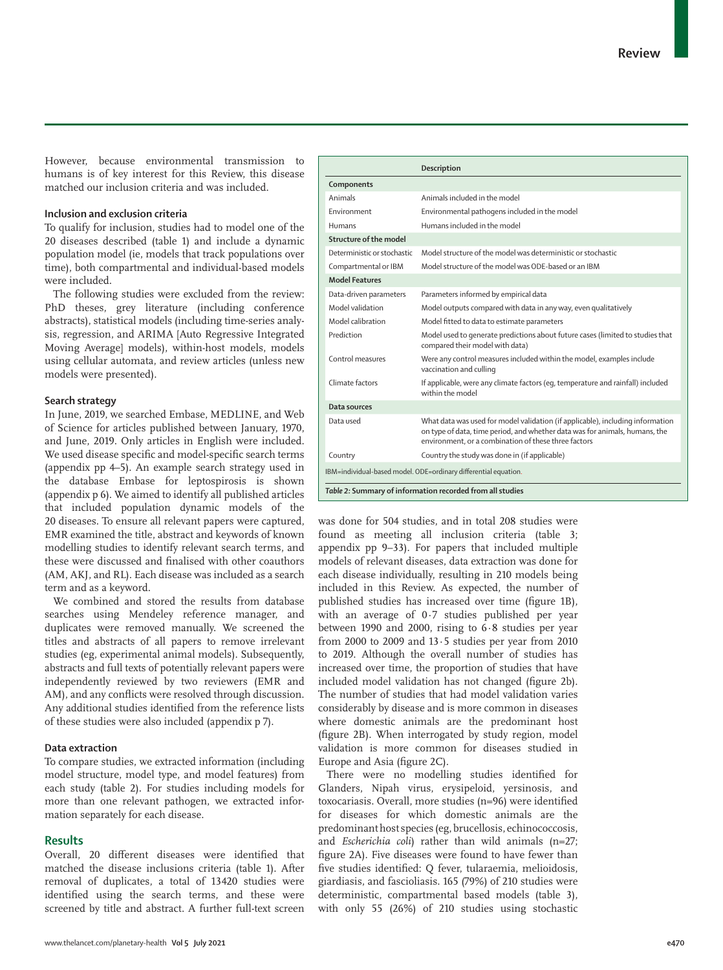However, because environmental transmission to humans is of key interest for this Review, this disease matched our inclusion criteria and was included.

## **Inclusion and exclusion criteria**

To qualify for inclusion, studies had to model one of the 20 diseases described (table 1) and include a dynamic population model (ie, models that track populations over time), both compartmental and individual-based models were included.

The following studies were excluded from the review: PhD theses, grey literature (including conference abstracts), statistical models (including time-series analysis, regression, and ARIMA [Auto Regressive Integrated Moving Average] models), within-host models, models using cellular automata, and review articles (unless new models were presented).

## **Search strategy**

In June, 2019, we searched Embase, MEDLINE, and Web of Science for articles published between January, 1970, and June, 2019. Only articles in English were included. We used disease specific and model-specific search terms (appendix pp 4–5). An example search strategy used in the database Embase for leptospirosis is shown (appendix p 6). We aimed to identify all published articles that included population dynamic models of the 20 diseases. To ensure all relevant papers were captured, EMR examined the title, abstract and keywords of known modelling studies to identify relevant search terms, and these were discussed and finalised with other coauthors (AM, AKJ, and RL). Each disease was included as a search term and as a keyword.

We combined and stored the results from database searches using Mendeley reference manager, and duplicates were removed manually. We screened the titles and abstracts of all papers to remove irrelevant studies (eg, experimental animal models). Subsequently, abstracts and full texts of potentially relevant papers were independently reviewed by two reviewers (EMR and AM), and any conflicts were resolved through discussion. Any additional studies identified from the reference lists of these studies were also included (appendix p 7).

## **Data extraction**

To compare studies, we extracted information (including model structure, model type, and model features) from each study (table 2). For studies including models for more than one relevant pathogen, we extracted information separately for each disease.

## **Results**

Overall, 20 different diseases were identified that matched the disease inclusions criteria (table 1). After removal of duplicates, a total of 13420 studies were identified using the search terms, and these were screened by title and abstract. A further full-text screen

|                             | Description                                                                                                                                                                                                           |
|-----------------------------|-----------------------------------------------------------------------------------------------------------------------------------------------------------------------------------------------------------------------|
| Components                  |                                                                                                                                                                                                                       |
| Animals                     | Animals included in the model                                                                                                                                                                                         |
| Environment                 | Environmental pathogens included in the model                                                                                                                                                                         |
| Humans                      | Humans included in the model                                                                                                                                                                                          |
| Structure of the model      |                                                                                                                                                                                                                       |
| Deterministic or stochastic | Model structure of the model was deterministic or stochastic                                                                                                                                                          |
| Compartmental or IBM        | Model structure of the model was ODE-based or an IBM                                                                                                                                                                  |
| <b>Model Features</b>       |                                                                                                                                                                                                                       |
| Data-driven parameters      | Parameters informed by empirical data                                                                                                                                                                                 |
| Model validation            | Model outputs compared with data in any way, even qualitatively                                                                                                                                                       |
| Model calibration           | Model fitted to data to estimate parameters                                                                                                                                                                           |
| Prediction                  | Model used to generate predictions about future cases (limited to studies that<br>compared their model with data)                                                                                                     |
| Control measures            | Were any control measures included within the model, examples include<br>vaccination and culling                                                                                                                      |
| Climate factors             | If applicable, were any climate factors (eq, temperature and rainfall) included<br>within the model                                                                                                                   |
| Data sources                |                                                                                                                                                                                                                       |
| Data used                   | What data was used for model validation (if applicable), including information<br>on type of data, time period, and whether data was for animals, humans, the<br>environment, or a combination of these three factors |
| Country                     | Country the study was done in (if applicable)                                                                                                                                                                         |
|                             | IBM=individual-based model. ODE=ordinary differential equation.                                                                                                                                                       |
|                             | Table 2: Summary of information recorded from all studies                                                                                                                                                             |

was done for 504 studies, and in total 208 studies were found as meeting all inclusion criteria (table 3; appendix pp 9–33). For papers that included multiple models of relevant diseases, data extraction was done for each disease individually, resulting in 210 models being included in this Review. As expected, the number of published studies has increased over time (figure 1B), with an average of 0·7 studies published per year between 1990 and 2000, rising to 6·8 studies per year from 2000 to 2009 and  $13.5$  studies per year from 2010 to 2019. Although the overall number of studies has increased over time, the proportion of studies that have included model validation has not changed (figure 2b). The number of studies that had model validation varies considerably by disease and is more common in diseases where domestic animals are the predominant host (figure 2B). When interrogated by study region, model validation is more common for diseases studied in Europe and Asia (figure 2C).

There were no modelling studies identified for Glanders, Nipah virus, erysipeloid, yersinosis, and toxocariasis. Overall, more studies (n=96) were identified for diseases for which domestic animals are the predominant host species (eg, brucellosis, echinococcosis, and *Escherichia coli*) rather than wild animals (n=27; figure 2A). Five diseases were found to have fewer than five studies identified: Q fever, tularaemia, melioidosis, giardiasis, and fascioliasis. 165 (79%) of 210 studies were deterministic, compartmental based models (table 3), with only 55 (26%) of 210 studies using stochastic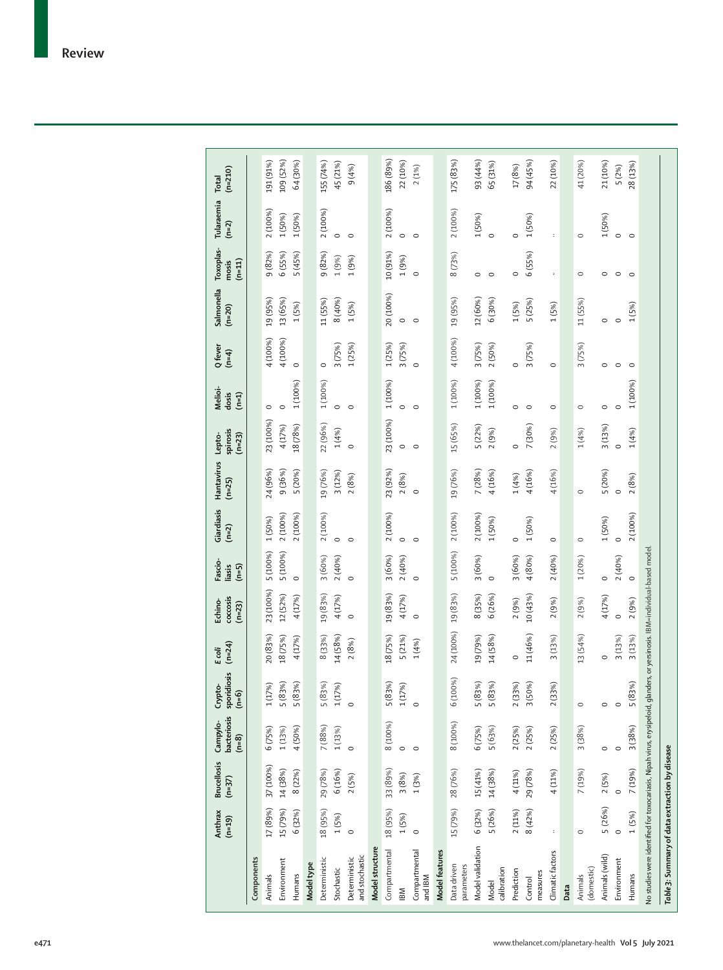|                                                                            | Anthrax<br>$(n=19)$ | <b>Brucellosis</b><br>$(n=37)$ | bacteriosis<br>Campylo-<br>$(n=8)$ | sporidiosis<br>Crypto-<br>$(n=6)$ | $(n=24)$<br>Ecoli | coccosis<br>Echino-<br>$(n=23)$                   | Fascio-<br>liasis<br>$(n=5)$ | Giardiasis<br>$(n=2)$ | Hantavirus<br>$(n=25)$ | spirosis<br>$(n=23)$<br>Lepto- | Melioi-<br>dosis<br>$(n=1)$ | Q fever<br>$(n=4)$ | Salmonella<br>$(n=20)$ | Toxoplas-<br>$(n=11)$<br>mosis | Tularaemia<br>$(n=2)$ | $(n=210)$<br>Total |
|----------------------------------------------------------------------------|---------------------|--------------------------------|------------------------------------|-----------------------------------|-------------------|---------------------------------------------------|------------------------------|-----------------------|------------------------|--------------------------------|-----------------------------|--------------------|------------------------|--------------------------------|-----------------------|--------------------|
| Components                                                                 |                     |                                |                                    |                                   |                   |                                                   |                              |                       |                        |                                |                             |                    |                        |                                |                       |                    |
| Animals                                                                    | 17 (89%)            | 37 (100%)                      | 6 (75%)                            | 1(17%)                            | 20 (83%)          | 23 (100%)                                         | 5 (100%)                     | 1 (50%)               | 24 (96%)               | 23 (100%)                      | $\circ$                     | 4 (100%)           | 19 (95%)               | 9(82%)                         | 2 (100%)              | 191 (91%)          |
| Environment                                                                | 15 (79%)            | 14 (38%)                       | 1(13%)                             | 5 (83%)                           | 18 (75%)          | 12(52%)                                           | 5 (100%)                     | 2 (100%)              | 9 (36%)                | 4 (17%)                        | $\circ$                     | 4 (100%)           | 13 (65%)               | 6 (55%)                        | 1 (50%)               | 109 (52%)          |
| Humans                                                                     | 6(32%)              | 8(22%)                         | 4 (50%)                            | 5 (83%)                           | 4 (17%)           | 4 (17%)                                           | $\circ$                      | 2 (100%)              | 5 (20%)                | 18 (78%)                       | 1 (100%)                    | $\circ$            | 1(5%)                  | 5 (45%)                        | 1(50%)                | 64 (30%)           |
| Model type                                                                 |                     |                                |                                    |                                   |                   |                                                   |                              |                       |                        |                                |                             |                    |                        |                                |                       |                    |
| Deterministic                                                              | 18 (95%)            | 29 (78%)                       | 7(88%)                             | 5 (83%)                           | 8 (33%)           | 19 (83%)                                          | 3 (60%)                      | 2 (100%)              | 19(76%)                | 22 (96%)                       | 1 (100%)                    | $\circ$            | 11 (55%)               | 9(82%)                         | 2 (100%)              | 155 (74%)          |
| Stochastic                                                                 | 1(5%)               | 6 (16%)                        | 1(13%)                             | 1(17%)                            | 14 (58%)          | 4(17%)                                            | 2(40%)                       | $\circ$               | 3(12%)                 | 1(4%                           | $\circ$                     | 3(75%)             | 8 (40%)                | 1(9%)                          |                       | 45 (21%)           |
| and stochastic<br>Deterministic                                            | $\circ$             | 2(5%)                          | $\circ$                            | $\circ$                           | 2(8%)             | $\circ$                                           |                              | $\circ$               | 2(8%)                  | $\circ$                        | $\circ$                     | 1(25%)             | 1(5%)                  | 1(9%)                          | $\circ$               | 9(4%)              |
| Model structure                                                            |                     |                                |                                    |                                   |                   |                                                   |                              |                       |                        |                                |                             |                    |                        |                                |                       |                    |
| Compartmental                                                              | 18 (95%)            | 33 (89%)                       | 8 (100%)                           | 5(83%)                            | 18 (75%)          | 19 (83%)                                          | 3(60%)                       | 2 (100%)              | 23 (92%)               | 23 (100%)                      | 1 (100%)                    | 1(25%)             | 20 (100%)              | 10 (91%)                       | 2 (100%)              | 186 (89%)          |
| IВM                                                                        | 1(5%)               | 3 (8%)                         | $\circ$                            | 1(17%)                            | 5 (21%)           | 4 (17%)                                           | 2(40%)                       | $\circ$               | 2(8%)                  | $\circ$                        | $\circ$                     | 3 (75%)            | $\circ$                | 1(9%)                          | $\circ$               | 22 (10%)           |
| Compartmental<br>and IBM                                                   | $\circ$             | 1(3%)                          | $\circ$                            | $\circ$                           | 1(4%              | $\circ$                                           |                              | $\circ$               | $\circ$                | $\circ$                        | $\circ$                     | $\circ$            | $\circ$                | $\circ$                        | $\circ$               | 2(1%)              |
| Model features                                                             |                     |                                |                                    |                                   |                   |                                                   |                              |                       |                        |                                |                             |                    |                        |                                |                       |                    |
| Data driven<br>parameters                                                  | 15 (79%)            | 28 (76%)                       | 8 (100%)                           | 6 (100%)                          | 24 (100%)         | 19 (83%)                                          | 5 (100%)                     | 2 (100%)              | 19(76%)                | 15 (65%)                       | 1 (100%)                    | 4 (100%)           | 19 (95%)               | 8(73%)                         | 2 (100%)              | 175 (83%)          |
| Model validation                                                           | 6(32%)              | 15 (41%)                       | 6 (75%)                            | 5 (83%)                           | 19 (79%)          | 8 (35%)                                           | 3 (60%)                      | 2 (100%)              | 7(28%)                 | 5 (22%)                        | 1 (100%)                    | 3(75%)             | 12 (60%)               | $\circ$                        | 1 (50%)               | 93 (44%)           |
| calibration<br>Model                                                       | 5 (26%)             | 14 (38%)                       | 5 (63%)                            | 5 (83%)                           | 14 (58%)          | 6(26%)                                            | $\circ$                      | 1 (50%)               | 4 (16%)                | 2 (9%)                         | 1 (100%)                    | 2 (50%)            | 6 (30%)                | $\circ$                        | $\circ$               | 65 (31%)           |
| Prediction                                                                 | 2(11%)              | 4(11%)                         | 2(25%)                             | 2(33%)                            | $\circ$           | 2(9%)                                             | 3(60%)                       | $\circ$               | 1(4%                   | $\circ$                        | $\circ$                     | $\circ$            | 1(5%)                  | $\circ$                        | $\circ$               | 17 (8%)            |
| measures<br>Control                                                        | 8(42%)              | 29 (78%)                       | 2(25%)                             | 3 (50%)                           | 11 (46%)          | 10 (43%)                                          | 4 (80%)                      | 1 (50%)               | 4(16%)                 | 7 (30%)                        | $\circ$                     | 3(75%)             | 5 (25%)                | 6 (55%)                        | 1 (50%)               | 94 (45%)           |
| Climatic factors                                                           |                     | 4 (11%)                        | 2(25%)                             | 2(33%)                            | 3(13%)            | 2(9%)                                             | 2(40%)                       | $\circ$               | 4 (16%)                | 2(9%)                          | $\circ$                     | $\circ$            | 1(5%)                  | $\ddot{\phantom{a}}$           |                       | 22 (10%)           |
| Data                                                                       |                     |                                |                                    |                                   |                   |                                                   |                              |                       |                        |                                |                             |                    |                        |                                |                       |                    |
| (domestic)<br>Animals                                                      | $\circ$             | 7 (19%)                        | 3 (38%)                            | $\circ$                           | 13 (54%)          | 2(9%)                                             | 1(20%)                       | $\circ$               | $\circ$                | 1(4%)                          | $\circ$                     | 3 (75%)            | 11 (55%)               | $\circ$                        | $\circ$               | 41 (20%)           |
| Animals (wild)                                                             | 5 (26%)             | 2(5%)                          | $\circ$                            | $\circ$                           | $\circ$           | 4 (17%)                                           | $\circ$                      | 1(50%)                | 5 (20%)                | 3(13%)                         | $\circ$                     | $\circ$            | $\circ$                | $\circ$                        | 1(50%)                | 21 (10%)           |
| Environment                                                                | $\circ$             | $\circ$                        | $\circ$                            | $\circ$                           | 3(13%)            | $\circ$                                           | 2(40%)                       | $\circ$               |                        | $\circ$                        | $\circ$                     | C                  | $\circ$                | $\circ$                        | $\circ$               | 5 (2%)             |
| Humans                                                                     | 1(5%)               | 7 (19%)                        | 3 (38%)                            | 5 (83%)                           | 3(13%)            | 2 (9%)                                            | $\circ$                      | 2 (100%)              | 2(8%)                  | 1(4%)                          | 1 (100%)                    | $\circ$            | 1(5%)                  | $\circ$                        | $\circ$               | 28 (13%)           |
| No studies were identified for toxocariasis, Nipah virus, erysipeloid, gla |                     |                                |                                    |                                   |                   | nders, or yersinosis. IBM=individual-based model. |                              |                       |                        |                                |                             |                    |                        |                                |                       |                    |
| Table 3: Summary of data extraction by disease                             |                     |                                |                                    |                                   |                   |                                                   |                              |                       |                        |                                |                             |                    |                        |                                |                       |                    |
|                                                                            |                     |                                |                                    |                                   |                   |                                                   |                              |                       |                        |                                |                             |                    |                        |                                |                       |                    |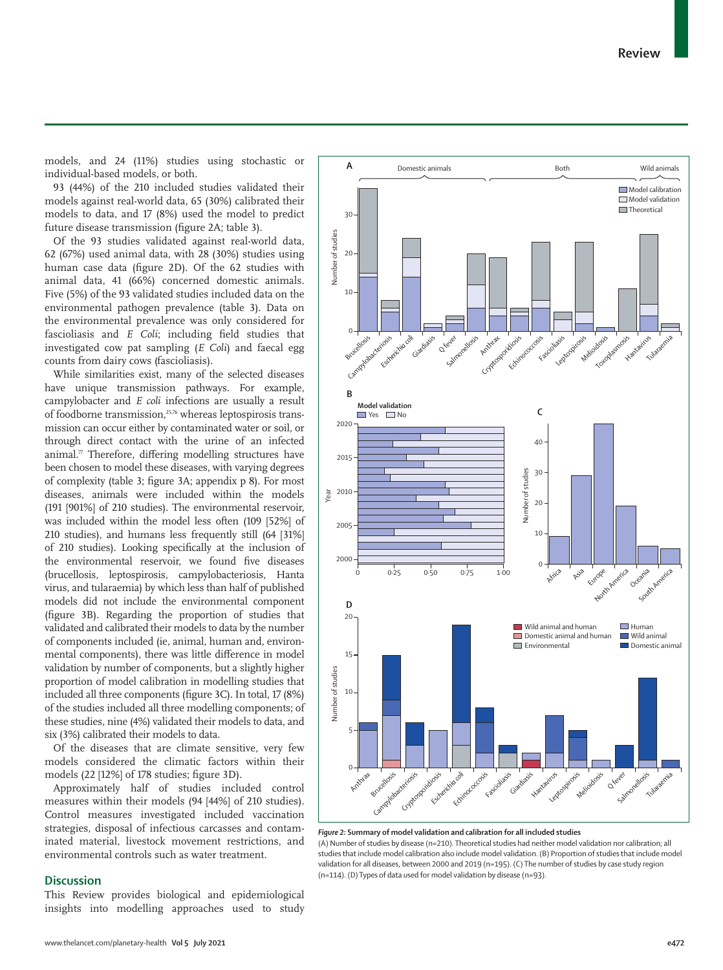

models, and 24 (11%) studies using stochastic or individual-based models, or both.

**A**

93 (44%) of the 210 included studies validated their models against real-world data, 65 (30%) calibrated their models to data, and 17 (8%) used the model to predict future disease transmission (figure 2A; table 3).

Of the 93 studies validated against real-world data, 62 (67%) used animal data, with 28 (30%) studies using human case data (figure 2D). Of the 62 studies with animal data, 41 (66%) concerned domestic animals. Five (5%) of the 93 validated studies included data on the environmental pathogen prevalence (table 3). Data on the environmental prevalence was only considered for fascioliasis and *E Coli*; including field studies that investigated cow pat sampling (*E Coli*) and faecal egg counts from dairy cows (fascioliasis).

While similarities exist, many of the selected diseases have unique transmission pathways. For example, campylobacter and *E coli* infections are usually a result of foodborne transmission,<sup>25,76</sup> whereas leptospirosis transmission can occur either by contaminated water or soil, or through direct contact with the urine of an infected animal. $\pi$  Therefore, differing modelling structures have been chosen to model these diseases, with varying degrees of complexity (table 3; figure 3A; appendix p 8). For most diseases, animals were included within the models (191 [901%] of 210 studies). The environmental reservoir, was included within the model less often (109 [52%] of 210 studies), and humans less frequently still (64 [31%] of 210 studies). Looking specifically at the inclusion of the environmental reservoir, we found five diseases (brucellosis, leptospirosis, campylobacteriosis, Hanta virus, and tularaemia) by which less than half of published models did not include the environmental component (figure 3B). Regarding the proportion of studies that validated and calibrated their models to data by the number of components included (ie, animal, human and, environmental components), there was little difference in model validation by number of components, but a slightly higher proportion of model calibration in modelling studies that included all three components (figure 3C). In total, 17 (8%) of the studies included all three modelling components; of these studies, nine (4%) validated their models to data, and six (3%) calibrated their models to data.

Of the diseases that are climate sensitive, very few models considered the climatic factors within their models (22 [12%] of 178 studies; figure 3D).

Approximately half of studies included control measures within their models (94 [44%] of 210 studies). Control measures investigated included vaccination strategies, disposal of infectious carcasses and contaminated material, livestock movement restrictions, and environmental controls such as water treatment.

# **Discussion**

This Review provides biological and epidemiological insights into modelling approaches used to study



*Figure 2:* **Summary of model validation and calibration for all included studies**

(A) Number of studies by disease (n=210). Theoretical studies had neither model validation nor calibration; all studies that include model calibration also include model validation. (B) Proportion of studies that include model validation for all diseases, between 2000 and 2019 (n=195). (C) The number of studies by case study region (n=114). (D) Types of data used for model validation by disease (n=93).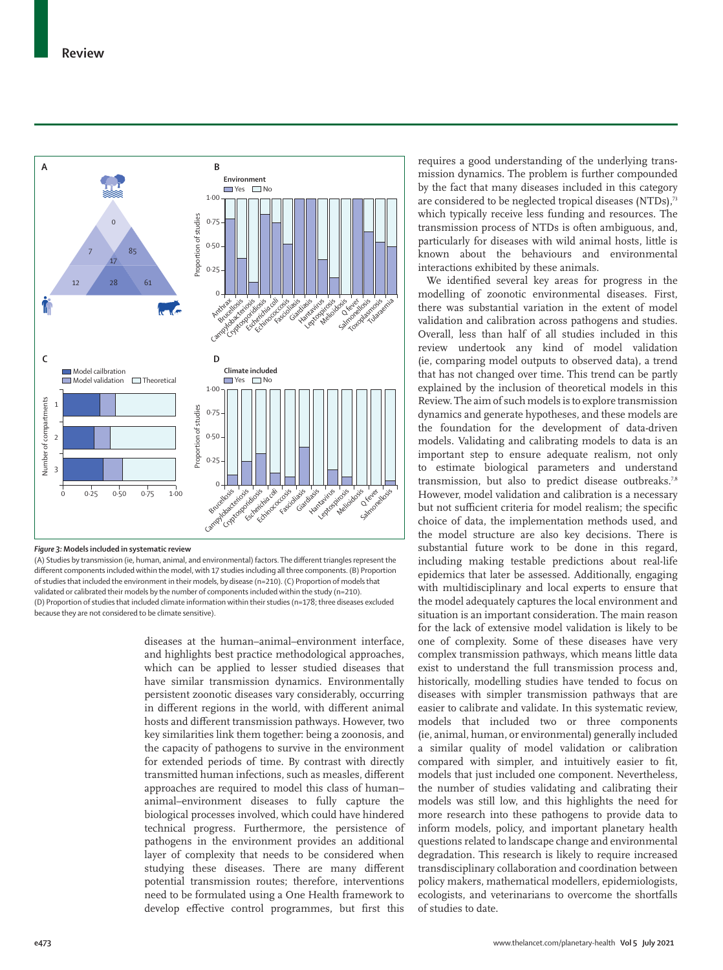

#### *Figure 3:* **Models included in systematic review**

(A) Studies by transmission (ie, human, animal, and environmental) factors. The different triangles represent the different components included within the model, with 17 studies including all three components. (B) Proportion of studies that included the environment in their models, by disease (n=210). (C) Proportion of models that validated or calibrated their models by the number of components included within the study (n=210). (D) Proportion of studies that included climate information within their studies (n=178; three diseases excluded because they are not considered to be climate sensitive).

diseases at the human–animal–environment interface, and highlights best practice methodological approaches, which can be applied to lesser studied diseases that have similar transmission dynamics. Environmentally persistent zoonotic diseases vary considerably, occurring in different regions in the world, with different animal hosts and different transmission pathways. However, two key similarities link them together: being a zoonosis, and the capacity of pathogens to survive in the environment for extended periods of time. By contrast with directly transmitted human infections, such as measles, different approaches are required to model this class of human– animal–environment diseases to fully capture the biological processes involved, which could have hindered technical progress. Furthermore, the persistence of pathogens in the environment provides an additional layer of complexity that needs to be considered when studying these diseases. There are many different potential transmission routes; therefore, interventions need to be formulated using a One Health framework to develop effective control programmes, but first this requires a good understanding of the underlying transmission dynamics. The problem is further compounded by the fact that many diseases included in this category are considered to be neglected tropical diseases (NTDs),73 which typically receive less funding and resources. The transmission process of NTDs is often ambiguous, and, particularly for diseases with wild animal hosts, little is known about the behaviours and environmental interactions exhibited by these animals.

We identified several key areas for progress in the modelling of zoonotic environmental diseases. First, there was substantial variation in the extent of model validation and calibration across pathogens and studies. Overall, less than half of all studies included in this review undertook any kind of model validation (ie, comparing model outputs to observed data), a trend that has not changed over time. This trend can be partly explained by the inclusion of theoretical models in this Review. The aim of such models is to explore transmission dynamics and generate hypotheses, and these models are the foundation for the development of data-driven models. Validating and calibrating models to data is an important step to ensure adequate realism, not only to estimate biological parameters and understand transmission, but also to predict disease outbreaks.<sup>7,8</sup> However, model validation and calibration is a necessary but not sufficient criteria for model realism; the specific choice of data, the implementation methods used, and the model structure are also key decisions. There is substantial future work to be done in this regard, including making testable predictions about real-life epidemics that later be assessed. Additionally, engaging with multidisciplinary and local experts to ensure that the model adequately captures the local environment and situation is an important consideration. The main reason for the lack of extensive model validation is likely to be one of complexity. Some of these diseases have very complex transmission pathways, which means little data exist to understand the full transmission process and, historically, modelling studies have tended to focus on diseases with simpler transmission pathways that are easier to calibrate and validate. In this systematic review, models that included two or three components (ie, animal, human, or environmental) generally included a similar quality of model validation or calibration compared with simpler, and intuitively easier to fit, models that just included one component. Nevertheless, the number of studies validating and calibrating their models was still low, and this highlights the need for more research into these pathogens to provide data to inform models, policy, and important planetary health questions related to landscape change and environmental degradation. This research is likely to require increased transdisciplinary collaboration and coordination between policy makers, mathematical modellers, epidemiologists, ecologists, and veterinarians to overcome the shortfalls of studies to date.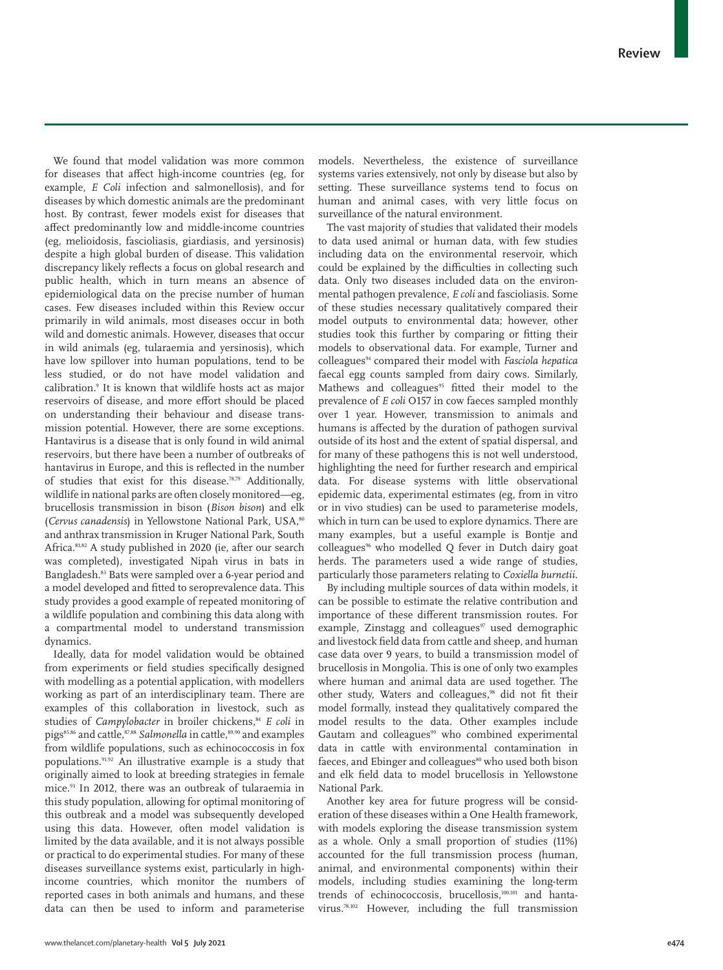We found that model validation was more common for diseases that affect high-income countries (eg, for example, *E Coli* infection and salmonellosis), and for diseases by which domestic animals are the predominant host. By contrast, fewer models exist for diseases that affect predominantly low and middle-income countries (eg, melioidosis, fascioliasis, giardiasis, and yersinosis) despite a high global burden of disease. This validation discrepancy likely reflects a focus on global research and public health, which in turn means an absence of epidemiological data on the precise number of human cases. Few diseases included within this Review occur primarily in wild animals, most diseases occur in both wild and domestic animals. However, diseases that occur in wild animals (eg, tularaemia and yersinosis), which have low spillover into human populations, tend to be less studied, or do not have model validation and calibration.9 It is known that wildlife hosts act as major reservoirs of disease, and more effort should be placed on understanding their behaviour and disease transmission potential. However, there are some exceptions. Hantavirus is a disease that is only found in wild animal reservoirs, but there have been a number of outbreaks of hantavirus in Europe, and this is reflected in the number of studies that exist for this disease.78,79 Additionally, wildlife in national parks are often closely monitored—eg, brucellosis transmission in bison (*Bison bison*) and elk (*Cervus canadensis*) in Yellowstone National Park, USA,80 and anthrax transmission in Kruger National Park, South Africa.81,82 A study published in 2020 (ie, after our search was completed), investigated Nipah virus in bats in Bangladesh.83 Bats were sampled over a 6-year period and a model developed and fitted to seroprevalence data. This study provides a good example of repeated monitoring of a wildlife population and combining this data along with a compartmental model to understand transmission dynamics.

Ideally, data for model validation would be obtained from experiments or field studies specifically designed with modelling as a potential application, with modellers working as part of an interdisciplinary team. There are examples of this collaboration in livestock, such as studies of *Campylobacter* in broiler chickens,<sup>84</sup> *E coli* in pigs<sup>85,86</sup> and cattle, 87,88</sup> *Salmonella* in cattle, 89,90 and examples from wildlife populations, such as echinococcosis in fox populations.91,92 An illustrative example is a study that originally aimed to look at breeding strategies in female mice.93 In 2012, there was an outbreak of tularaemia in this study population, allowing for optimal monitoring of this outbreak and a model was subsequently developed using this data. However, often model validation is limited by the data available, and it is not always possible or practical to do experimental studies. For many of these diseases surveillance systems exist, particularly in highincome countries, which monitor the numbers of reported cases in both animals and humans, and these data can then be used to inform and parameterise models. Nevertheless, the existence of surveillance systems varies extensively, not only by disease but also by setting. These surveillance systems tend to focus on human and animal cases, with very little focus on surveillance of the natural environment.

The vast majority of studies that validated their models to data used animal or human data, with few studies including data on the environmental reservoir, which could be explained by the difficulties in collecting such data. Only two diseases included data on the environmental pathogen prevalence, *E coli* and fascioliasis. Some of these studies necessary qualitatively compared their model outputs to environmental data; however, other studies took this further by comparing or fitting their models to observational data. For example, Turner and colleagues94 compared their model with *Fasciola hepatica* faecal egg counts sampled from dairy cows. Similarly, Mathews and colleagues<sup>95</sup> fitted their model to the prevalence of *E coli* O157 in cow faeces sampled monthly over 1 year. However, transmission to animals and humans is affected by the duration of pathogen survival outside of its host and the extent of spatial dispersal, and for many of these pathogens this is not well understood, highlighting the need for further research and empirical data. For disease systems with little observational epidemic data, experimental estimates (eg, from in vitro or in vivo studies) can be used to parameterise models, which in turn can be used to explore dynamics. There are many examples, but a useful example is Bontje and colleagues<sup>96</sup> who modelled Q fever in Dutch dairy goat herds. The parameters used a wide range of studies, particularly those parameters relating to *Coxiella burnetii*.

By including multiple sources of data within models, it can be possible to estimate the relative contribution and importance of these different transmission routes. For example, Zinstagg and colleagues $97$  used demographic and livestock field data from cattle and sheep, and human case data over 9 years, to build a transmission model of brucellosis in Mongolia. This is one of only two examples where human and animal data are used together. The other study, Waters and colleagues,<sup>98</sup> did not fit their model formally, instead they qualitatively compared the model results to the data. Other examples include Gautam and colleagues<sup>99</sup> who combined experimental data in cattle with environmental contamination in faeces, and Ebinger and colleagues<sup>80</sup> who used both bison and elk field data to model brucellosis in Yellowstone National Park.

Another key area for future progress will be consideration of these diseases within a One Health framework, with models exploring the disease transmission system as a whole. Only a small proportion of studies (11%) accounted for the full transmission process (human, animal, and environmental components) within their models, including studies examining the long-term trends of echinococcosis, brucellosis,100,101 and hantavirus.78,102 However, including the full transmission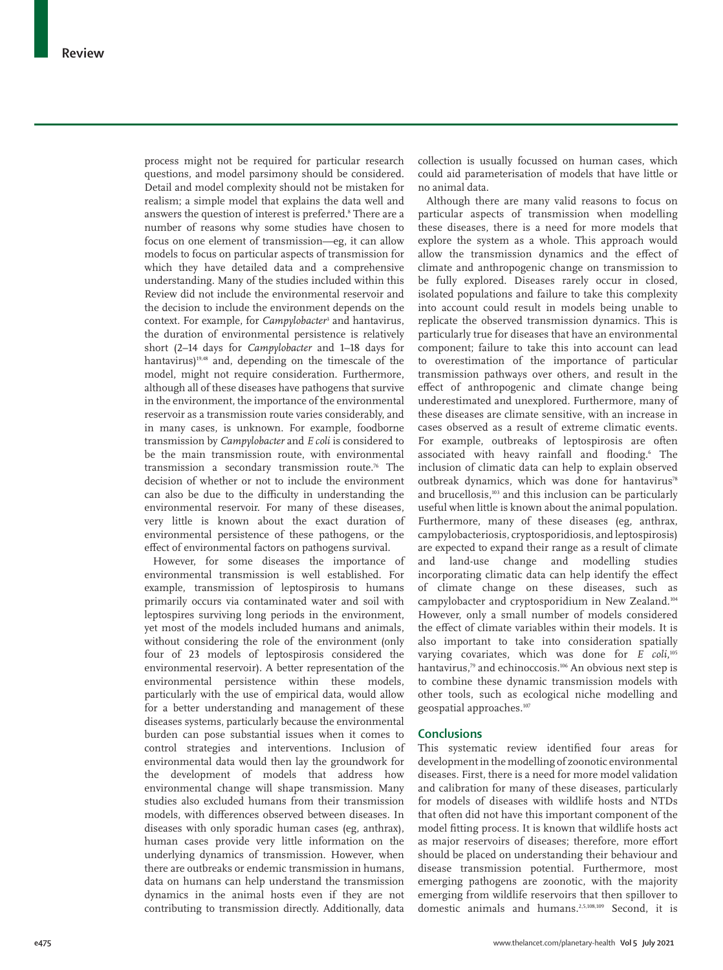process might not be required for particular research questions, and model parsimony should be considered. Detail and model complexity should not be mistaken for realism; a simple model that explains the data well and answers the question of interest is preferred.<sup>8</sup> There are a number of reasons why some studies have chosen to focus on one element of transmission—eg, it can allow models to focus on particular aspects of transmission for which they have detailed data and a comprehensive understanding. Many of the studies included within this Review did not include the environmental reservoir and the decision to include the environment depends on the context. For example, for *Campylobacter*<sup>3</sup> and hantavirus, the duration of environmental persistence is relatively short (2–14 days for *Campylobacter* and 1–18 days for hantavirus) $19,48$  and, depending on the timescale of the model, might not require consideration. Furthermore, although all of these diseases have pathogens that survive in the environment, the importance of the environmental reservoir as a transmission route varies considerably, and in many cases, is unknown. For example, foodborne transmission by *Campylobacter* and *E coli* is considered to be the main transmission route, with environmental transmission a secondary transmission route.76 The decision of whether or not to include the environment can also be due to the difficulty in understanding the environmental reservoir. For many of these diseases, very little is known about the exact duration of environmental persistence of these pathogens, or the effect of environmental factors on pathogens survival.

However, for some diseases the importance of environmental transmission is well established. For example, transmission of leptospirosis to humans primarily occurs via contaminated water and soil with leptospires surviving long periods in the environment, yet most of the models included humans and animals, without considering the role of the environment (only four of 23 models of leptospirosis considered the environmental reservoir). A better representation of the environmental persistence within these models, particularly with the use of empirical data, would allow for a better understanding and management of these diseases systems, particularly because the environmental burden can pose substantial issues when it comes to control strategies and interventions. Inclusion of environmental data would then lay the groundwork for the development of models that address how environmental change will shape transmission. Many studies also excluded humans from their transmission models, with differences observed between diseases. In diseases with only sporadic human cases (eg, anthrax), human cases provide very little information on the underlying dynamics of transmission. However, when there are outbreaks or endemic transmission in humans, data on humans can help understand the transmission dynamics in the animal hosts even if they are not contributing to transmission directly. Additionally, data

collection is usually focussed on human cases, which could aid parameterisation of models that have little or no animal data.

Although there are many valid reasons to focus on particular aspects of transmission when modelling these diseases, there is a need for more models that explore the system as a whole. This approach would allow the transmission dynamics and the effect of climate and anthropogenic change on transmission to be fully explored. Diseases rarely occur in closed, isolated populations and failure to take this complexity into account could result in models being unable to replicate the observed transmission dynamics. This is particularly true for diseases that have an environmental component; failure to take this into account can lead to overestimation of the importance of particular transmission pathways over others, and result in the effect of anthropogenic and climate change being underestimated and unexplored. Furthermore, many of these diseases are climate sensitive, with an increase in cases observed as a result of extreme climatic events. For example, outbreaks of leptospirosis are often associated with heavy rainfall and flooding.<sup>6</sup> The inclusion of climatic data can help to explain observed outbreak dynamics, which was done for hantavirus<sup>78</sup> and brucellosis,<sup>103</sup> and this inclusion can be particularly useful when little is known about the animal population. Furthermore, many of these diseases (eg, anthrax, campylobacteriosis, cryptosporidiosis, and leptospirosis) are expected to expand their range as a result of climate and land-use change and modelling studies incorporating climatic data can help identify the effect of climate change on these diseases, such as campylobacter and cryptosporidium in New Zealand.104 However, only a small number of models considered the effect of climate variables within their models. It is also important to take into consideration spatially varying covariates, which was done for *E* coli,<sup>105</sup> hantavirus,<sup>79</sup> and echinoccosis.<sup>106</sup> An obvious next step is to combine these dynamic transmission models with other tools, such as ecological niche modelling and geospatial approaches.107

## **Conclusions**

This systematic review identified four areas for development in the modelling of zoonotic environmental diseases. First, there is a need for more model validation and calibration for many of these diseases, particularly for models of diseases with wildlife hosts and NTDs that often did not have this important component of the model fitting process. It is known that wildlife hosts act as major reservoirs of diseases; therefore, more effort should be placed on understanding their behaviour and disease transmission potential. Furthermore, most emerging pathogens are zoonotic, with the majority emerging from wildlife reservoirs that then spillover to domestic animals and humans.2,5,108,109 Second, it is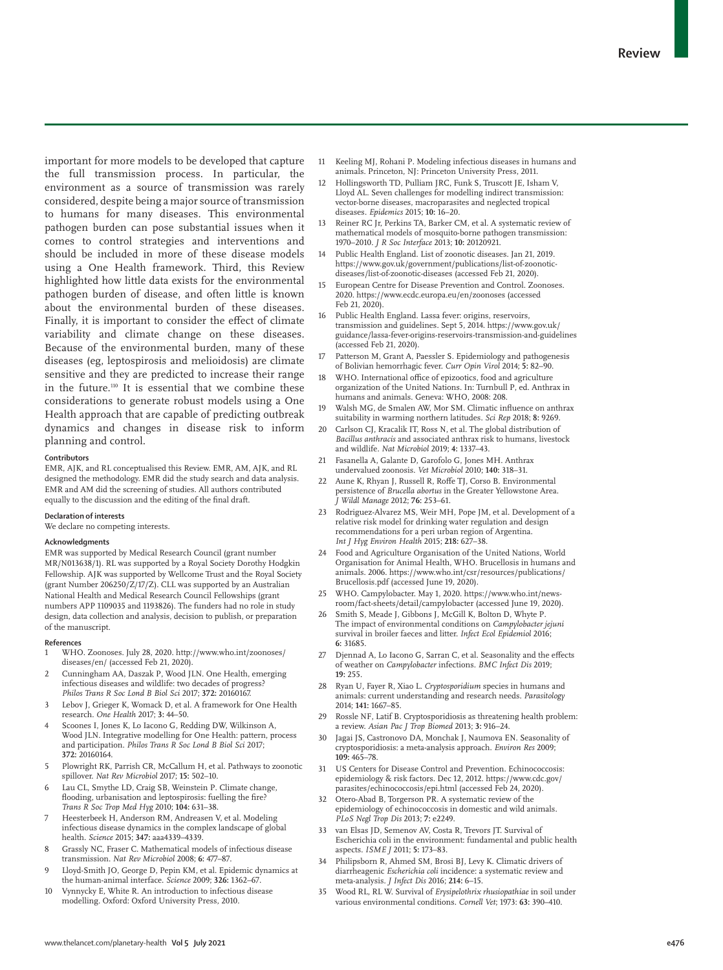important for more models to be developed that capture the full transmission process. In particular, the environment as a source of transmission was rarely considered, despite being a major source of transmission to humans for many diseases. This environmental pathogen burden can pose substantial issues when it comes to control strategies and interventions and should be included in more of these disease models using a One Health framework. Third, this Review highlighted how little data exists for the environmental pathogen burden of disease, and often little is known about the environmental burden of these diseases. Finally, it is important to consider the effect of climate variability and climate change on these diseases. Because of the environmental burden, many of these diseases (eg, leptospirosis and melioidosis) are climate sensitive and they are predicted to increase their range in the future.110 It is essential that we combine these considerations to generate robust models using a One Health approach that are capable of predicting outbreak dynamics and changes in disease risk to inform planning and control.

#### **Contributors**

EMR, AJK, and RL conceptualised this Review. EMR, AM, AJK, and RL designed the methodology. EMR did the study search and data analysis. EMR and AM did the screening of studies. All authors contributed equally to the discussion and the editing of the final draft.

#### **Declaration of interests**

We declare no competing interests.

#### **Acknowledgments**

EMR was supported by Medical Research Council (grant number MR/N013638/1). RL was supported by a Royal Society Dorothy Hodgkin Fellowship. AJK was supported by Wellcome Trust and the Royal Society (grant Number 206250/Z/17/Z). CLL was supported by an Australian National Health and Medical Research Council Fellowships (grant numbers APP 1109035 and 1193826). The funders had no role in study design, data collection and analysis, decision to publish, or preparation of the manuscript.

#### **References**

- 1 WHO. Zoonoses. July 28, 2020. http://www.who.int/zoonoses/ diseases/en/ (accessed Feb 21, 2020).
- 2 Cunningham AA, Daszak P, Wood JLN. One Health, emerging infectious diseases and wildlife: two decades of progress? *Philos Trans R Soc Lond B Biol Sci* 2017; **372:** 20160167.
- Lebov J, Grieger K, Womack D, et al. A framework for One Health research. *One Health* 2017; **3:** 44–50.
- Scoones I, Jones K, Lo Iacono G, Redding DW, Wilkinson A, Wood JLN. Integrative modelling for One Health: pattern, process and participation. *Philos Trans R Soc Lond B Biol Sci* 2017; **372:** 20160164.
- 5 Plowright RK, Parrish CR, McCallum H, et al. Pathways to zoonotic spillover. *Nat Rev Microbiol* 2017; **15:** 502–10.
- 6 Lau CL, Smythe LD, Craig SB, Weinstein P. Climate change, flooding, urbanisation and leptospirosis: fuelling the fire? *Trans R Soc Trop Med Hyg* 2010; **104:** 631–38.
- Heesterbeek H, Anderson RM, Andreasen V, et al. Modeling infectious disease dynamics in the complex landscape of global health. *Science* 2015; **347:** aaa4339–4339.
- 8 Grassly NC, Fraser C. Mathematical models of infectious disease transmission. *Nat Rev Microbiol* 2008; **6:** 477–87.
- 9 Lloyd-Smith JO, George D, Pepin KM, et al. Epidemic dynamics at the human-animal interface. *Science* 2009; **326:** 1362–67.
- 10 Vynnycky E, White R. An introduction to infectious disease modelling. Oxford: Oxford University Press, 2010.
- 11 Keeling MJ, Rohani P. Modeling infectious diseases in humans and animals. Princeton, NJ: Princeton University Press, 2011.
- 12 Hollingsworth TD, Pulliam JRC, Funk S, Truscott JE, Isham V, Lloyd AL. Seven challenges for modelling indirect transmission: vector-borne diseases, macroparasites and neglected tropical diseases. *Epidemics* 2015; **10:** 16–20.
- Reiner RC Jr, Perkins TA, Barker CM, et al. A systematic review of mathematical models of mosquito-borne pathogen transmission: 1970–2010. *J R Soc Interface* 2013; **10:** 20120921.
- Public Health England. List of zoonotic diseases. Jan 21, 2019. https://www.gov.uk/government/publications/list-of-zoonoticdiseases/list-of-zoonotic-diseases (accessed Feb 21, 2020).
- 15 European Centre for Disease Prevention and Control. Zoonoses. 2020. https://www.ecdc.europa.eu/en/zoonoses (accessed Feb 21, 2020).
- 16 Public Health England. Lassa fever: origins, reservoirs, transmission and guidelines. Sept 5, 2014. https://www.gov.uk/ guidance/lassa-fever-origins-reservoirs-transmission-and-guidelines (accessed Feb 21, 2020).
- 17 Patterson M, Grant A, Paessler S. Epidemiology and pathogenesis of Bolivian hemorrhagic fever. *Curr Opin Virol* 2014; **5:** 82–90.
- 18 WHO. International office of epizootics, food and agriculture organization of the United Nations. In: Turnbull P, ed. Anthrax in humans and animals. Geneva: WHO, 2008: 208.
- 19 Walsh MG, de Smalen AW, Mor SM. Climatic influence on anthrax suitability in warming northern latitudes. *Sci Rep* 2018; **8:** 9269.
- 20 Carlson CJ, Kracalik IT, Ross N, et al. The global distribution of *Bacillus anthracis* and associated anthrax risk to humans, livestock and wildlife. *Nat Microbiol* 2019; **4:** 1337–43.
- 21 Fasanella A, Galante D, Garofolo G, Jones MH. Anthrax undervalued zoonosis. *Vet Microbiol* 2010; **140:** 318–31.
- 22 Aune K, Rhyan J, Russell R, Roffe TJ, Corso B. Environmental persistence of *Brucella abortus* in the Greater Yellowstone Area. *J Wildl Manage* 2012; **76:** 253–61.
- 23 Rodriguez-Alvarez MS, Weir MH, Pope JM, et al. Development of a relative risk model for drinking water regulation and design recommendations for a peri urban region of Argentina. *Int J Hyg Environ Health* 2015; **218:** 627–38.
- Food and Agriculture Organisation of the United Nations, World Organisation for Animal Health, WHO. Brucellosis in humans and animals. 2006. https://www.who.int/csr/resources/publications/ Brucellosis.pdf (accessed June 19, 2020).
- 25 WHO. Campylobacter. May 1, 2020. https://www.who.int/newsroom/fact-sheets/detail/campylobacter (accessed June 19, 2020).
- Smith S, Meade J, Gibbons J, McGill K, Bolton D, Whyte P. The impact of environmental conditions on *Campylobacter jejuni* survival in broiler faeces and litter. *Infect Ecol Epidemiol* 2016; **6:** 31685.
- 27 Djennad A, Lo Iacono G, Sarran C, et al. Seasonality and the effects of weather on *Campylobacter* infections. *BMC Infect Dis* 2019; **19:** 255.
- 28 Ryan U, Fayer R, Xiao L. *Cryptosporidium* species in humans and animals: current understanding and research needs. *Parasitology* 2014; **141:** 1667–85.
- Rossle NF, Latif B. Cryptosporidiosis as threatening health problem: a review. *Asian Pac J Trop Biomed* 2013; **3:** 916–24.
- 30 Jagai JS, Castronovo DA, Monchak J, Naumova EN. Seasonality of cryptosporidiosis: a meta-analysis approach. *Environ Res* 2009; **109:** 465–78.
- 31 US Centers for Disease Control and Prevention. Echinococcosis: epidemiology & risk factors. Dec 12, 2012. https://www.cdc.gov/ parasites/echinococcosis/epi.html (accessed Feb 24, 2020).
- 32 Otero-Abad B, Torgerson PR. A systematic review of the epidemiology of echinococcosis in domestic and wild animals. *PLoS Negl Trop Dis* 2013; **7:** e2249.
- van Elsas JD, Semenov AV, Costa R, Trevors JT. Survival of Escherichia coli in the environment: fundamental and public health aspects. *ISME J* 2011; **5:** 173–83.
- 34 Philipsborn R, Ahmed SM, Brosi BJ, Levy K. Climatic drivers of diarrheagenic *Escherichia coli* incidence: a systematic review and meta-analysis. *J Infect Dis* 2016; **214:** 6–15.
- 35 Wood RL, RL W. Survival of *Erysipelothrix rhusiopathiae* in soil under various environmental conditions. *Cornell Vet*; 1973: **63:** 390–410.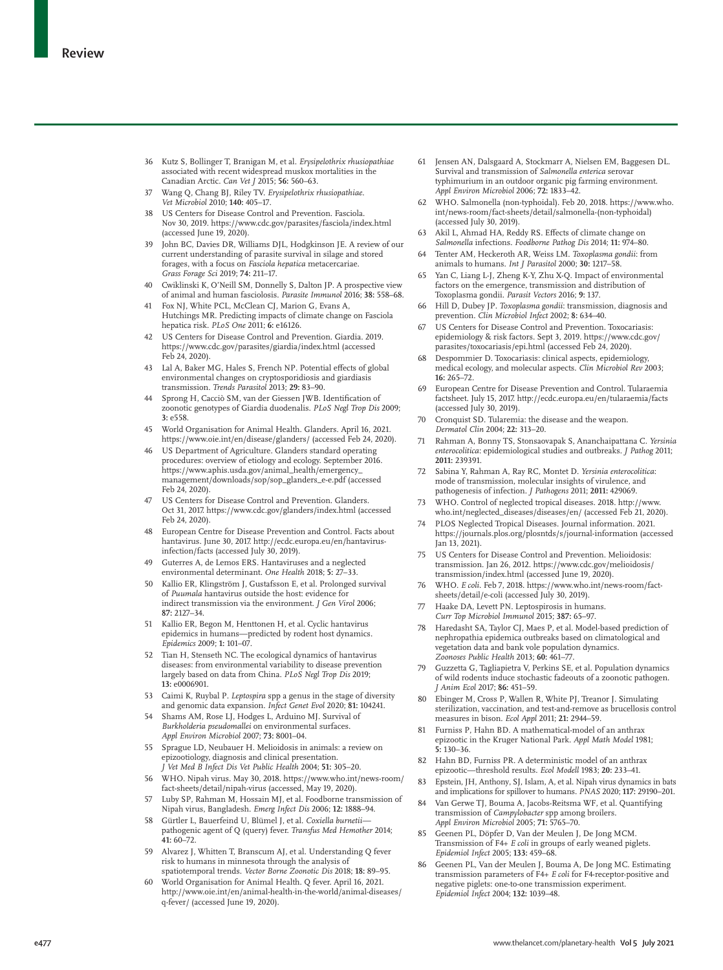- 36 Kutz S, Bollinger T, Branigan M, et al. *Erysipelothrix rhusiopathiae* associated with recent widespread muskox mortalities in the Canadian Arctic. *Can Vet J* 2015; **56:** 560–63.
- 37 Wang Q, Chang BJ, Riley TV. *Erysipelothrix rhusiopathiae*. *Vet Microbiol* 2010; **140:** 405–17.
- 38 US Centers for Disease Control and Prevention. Fasciola. Nov 30, 2019. https://www.cdc.gov/parasites/fasciola/index.html (accessed June 19, 2020).
- 39 John BC, Davies DR, Williams DJL, Hodgkinson JE. A review of our current understanding of parasite survival in silage and stored forages, with a focus on *Fasciola hepatica* metacercariae. *Grass Forage Sci* 2019; **74:** 211–17.
- 40 Cwiklinski K, O'Neill SM, Donnelly S, Dalton JP. A prospective view of animal and human fasciolosis. *Parasite Immunol* 2016; **38:** 558–68.
- 41 Fox NJ, White PCL, McClean CJ, Marion G, Evans A, Hutchings MR. Predicting impacts of climate change on Fasciola hepatica risk. *PLoS One* 2011; **6:** e16126.
- 42 US Centers for Disease Control and Prevention. Giardia. 2019. https://www.cdc.gov/parasites/giardia/index.html (accessed Feb 24, 2020).
- 43 Lal A, Baker MG, Hales S, French NP. Potential effects of global environmental changes on cryptosporidiosis and giardiasis transmission. *Trends Parasitol* 2013; **29:** 83–90.
- 44 Sprong H, Cacciò SM, van der Giessen JWB. Identification of zoonotic genotypes of Giardia duodenalis. *PLoS Negl Trop Dis* 2009; **3:** e558.
- 45 World Organisation for Animal Health. Glanders. April 16, 2021. https://www.oie.int/en/disease/glanders/ (accessed Feb 24, 2020).
- 46 US Department of Agriculture. Glanders standard operating procedures: overview of etiology and ecology. September 2016. https://www.aphis.usda.gov/animal\_health/emergency\_ management/downloads/sop/sop\_glanders\_e-e.pdf (accessed Feb 24, 2020).
- US Centers for Disease Control and Prevention. Glanders. Oct 31, 2017. https://www.cdc.gov/glanders/index.html (accessed Feb 24, 2020).
- 48 European Centre for Disease Prevention and Control. Facts about hantavirus. June 30, 2017. http://ecdc.europa.eu/en/hantavirusinfection/facts (accessed July 30, 2019).
- Guterres A, de Lemos ERS. Hantaviruses and a neglected environmental determinant. *One Health* 2018; **5:** 27–33.
- 50 Kallio ER, Klingström J, Gustafsson E, et al. Prolonged survival of *Puumala* hantavirus outside the host: evidence for indirect transmission via the environment. *J Gen Virol* 2006; **87:** 2127–34.
- 51 Kallio ER, Begon M, Henttonen H, et al. Cyclic hantavirus epidemics in humans—predicted by rodent host dynamics. *Epidemics* 2009; **1:** 101–07.
- 52 Tian H, Stenseth NC. The ecological dynamics of hantavirus diseases: from environmental variability to disease prevention largely based on data from China. *PLoS Negl Trop Dis* 2019; **13:** e0006901.
- 53 Caimi K, Ruybal P. *Leptospira* spp a genus in the stage of diversity and genomic data expansion. *Infect Genet Evol* 2020; **81:** 104241.
- 54 Shams AM, Rose LJ, Hodges L, Arduino MJ. Survival of *Burkholderia pseudomallei* on environmental surfaces. *Appl Environ Microbiol* 2007; **73:** 8001–04.
- 55 Sprague LD, Neubauer H. Melioidosis in animals: a review on epizootiology, diagnosis and clinical presentation. *J Vet Med B Infect Dis Vet Public Health* 2004; **51:** 305–20.
- 56 WHO. Nipah virus. May 30, 2018. https://www.who.int/news-room/ fact-sheets/detail/nipah-virus (accessed, May 19, 2020).
- 57 Luby SP, Rahman M, Hossain MJ, et al. Foodborne transmission of Nipah virus, Bangladesh. *Emerg Infect Dis* 2006; **12:** 1888–94.
- 58 Gürtler L, Bauerfeind U, Blümel J, et al. *Coxiella burnetii* pathogenic agent of Q (query) fever. *Transfus Med Hemother* 2014; **41:** 60–72.
- 59 Alvarez J, Whitten T, Branscum AJ, et al. Understanding Q fever risk to humans in minnesota through the analysis of spatiotemporal trends. *Vector Borne Zoonotic Dis* 2018; **18:** 89–95.
- World Organisation for Animal Health. Q fever. April 16, 2021. http://www.oie.int/en/animal-health-in-the-world/animal-diseases/ q-fever/ (accessed June 19, 2020).
- 61 Jensen AN, Dalsgaard A, Stockmarr A, Nielsen EM, Baggesen DL. Survival and transmission of *Salmonella enterica* serovar typhimurium in an outdoor organic pig farming environment. *Appl Environ Microbiol* 2006; **72:** 1833–42.
- 62 WHO. Salmonella (non-typhoidal). Feb 20, 2018. https://www.who. int/news-room/fact-sheets/detail/salmonella-(non-typhoidal) (accessed July 30, 2019).
- Akil L, Ahmad HA, Reddy RS. Effects of climate change on *Salmonella* infections. *Foodborne Pathog Dis* 2014; **11:** 974–80.
- 64 Tenter AM, Heckeroth AR, Weiss LM. *Toxoplasma gondii*: from animals to humans. *Int J Parasitol* 2000; **30:** 1217–58.
- 65 Yan C, Liang L-J, Zheng K-Y, Zhu X-Q. Impact of environmental factors on the emergence, transmission and distribution of Toxoplasma gondii. *Parasit Vectors* 2016; **9:** 137.
- 66 Hill D, Dubey JP. *Toxoplasma gondii*: transmission, diagnosis and prevention. *Clin Microbiol Infect* 2002; **8:** 634–40.
- 67 US Centers for Disease Control and Prevention. Toxocariasis: epidemiology & risk factors. Sept 3, 2019. https://www.cdc.gov/ parasites/toxocariasis/epi.html (accessed Feb 24, 2020).
- Despommier D. Toxocariasis: clinical aspects, epidemiology, medical ecology, and molecular aspects. *Clin Microbiol Rev* 2003; **16:** 265–72.
- 69 European Centre for Disease Prevention and Control. Tularaemia factsheet. July 15, 2017. http://ecdc.europa.eu/en/tularaemia/facts (accessed July 30, 2019).
- 70 Cronquist SD. Tularemia: the disease and the weapon. *Dermatol Clin* 2004; **22:** 313–20.
- 71 Rahman A, Bonny TS, Stonsaovapak S, Ananchaipattana C. *Yersinia enterocolitica*: epidemiological studies and outbreaks. *J Pathog* 2011; **2011:** 239391.
- 72 Sabina Y, Rahman A, Ray RC, Montet D. *Yersinia enterocolitica*: mode of transmission, molecular insights of virulence, and pathogenesis of infection. *J Pathogens* 2011; **2011:** 429069.
- 73 WHO. Control of neglected tropical diseases. 2018. http://www. who.int/neglected\_diseases/diseases/en/ (accessed Feb 21, 2020).
- PLOS Neglected Tropical Diseases. Journal information. 2021. https://journals.plos.org/plosntds/s/journal-information (accessed Jan 13, 2021).
- 75 US Centers for Disease Control and Prevention. Melioidosis: transmission. Jan 26, 2012. https://www.cdc.gov/melioidosis/ transmission/index.html (accessed June 19, 2020).
- 76 WHO. *E coli*. Feb 7, 2018. https://www.who.int/news-room/factsheets/detail/e-coli (accessed July 30, 2019).
- 77 Haake DA, Levett PN. Leptospirosis in humans. *Curr Top Microbiol Immunol* 2015; **387:** 65–97.
- 78 Haredasht SA, Taylor CJ, Maes P, et al. Model-based prediction of nephropathia epidemica outbreaks based on climatological and vegetation data and bank vole population dynamics. *Zoonoses Public Health* 2013; **60:** 461–77.
- Guzzetta G, Tagliapietra V, Perkins SE, et al. Population dynamics of wild rodents induce stochastic fadeouts of a zoonotic pathogen. *J Anim Ecol* 2017; **86:** 451–59.
- 80 Ebinger M, Cross P, Wallen R, White PJ, Treanor J. Simulating sterilization, vaccination, and test-and-remove as brucellosis control measures in bison. *Ecol Appl* 2011; **21:** 2944–59.
- Furniss P, Hahn BD. A mathematical-model of an anthrax epizootic in the Kruger National Park. *Appl Math Model* 1981; **5:** 130–36.
- 82 Hahn BD, Furniss PR. A deterministic model of an anthrax epizootic—threshold results. *Ecol Modell* 1983; **20:** 233–41.
- Epstein, JH, Anthony, SJ, Islam, A, et al. Nipah virus dynamics in bats and implications for spillover to humans. *PNAS* 2020; **117:** 29190–201.
- 84 Van Gerwe TJ, Bouma A, Jacobs-Reitsma WF, et al. Quantifying transmission of *Campylobacter* spp among broilers. *Appl Environ Microbiol* 2005; **71:** 5765–70.
- 85 Geenen PL, Döpfer D, Van der Meulen J, De Jong MCM. Transmission of F4+ *E coli* in groups of early weaned piglets. *Epidemiol Infect* 2005; **133:** 459–68.
- 86 Geenen PL, Van der Meulen J, Bouma A, De Jong MC. Estimating transmission parameters of F4+ *E coli* for F4-receptor-positive and negative piglets: one-to-one transmission experiment. *Epidemiol Infect* 2004; **132:** 1039–48.